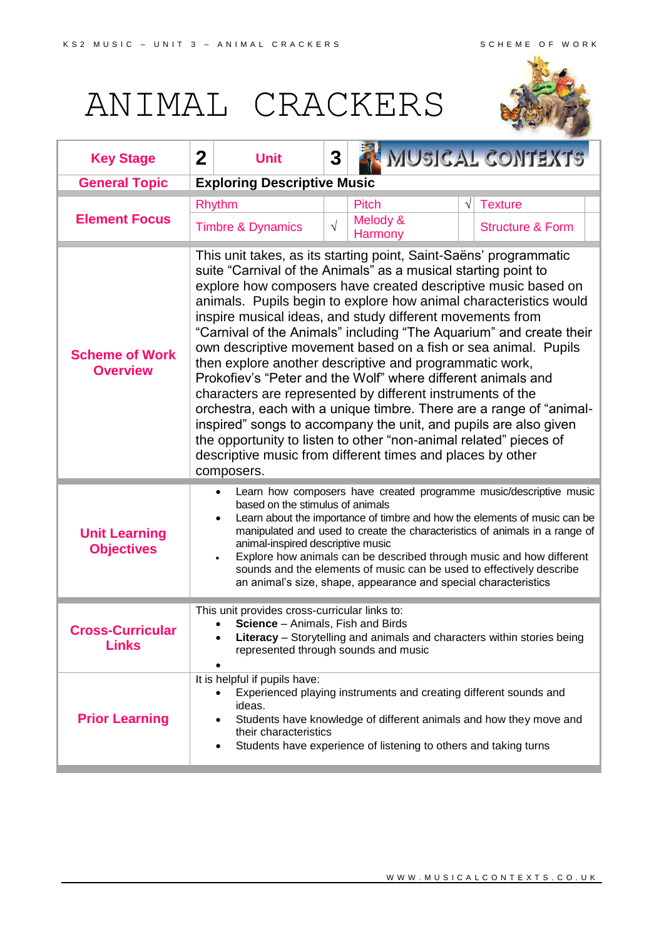# ANIMAL CRACKERS



| <b>Key Stage</b>                          | $\mathbf{2}$<br><b>Unit</b>                                                                                                                                                                                                                                                                                                                                                                                                                                                                                                                                                                                                                                                                                                                                                                                                                                                                                                                                          | 3 |                     |           | MUSICAL CONTEXTS            |
|-------------------------------------------|----------------------------------------------------------------------------------------------------------------------------------------------------------------------------------------------------------------------------------------------------------------------------------------------------------------------------------------------------------------------------------------------------------------------------------------------------------------------------------------------------------------------------------------------------------------------------------------------------------------------------------------------------------------------------------------------------------------------------------------------------------------------------------------------------------------------------------------------------------------------------------------------------------------------------------------------------------------------|---|---------------------|-----------|-----------------------------|
| <b>General Topic</b>                      | <b>Exploring Descriptive Music</b>                                                                                                                                                                                                                                                                                                                                                                                                                                                                                                                                                                                                                                                                                                                                                                                                                                                                                                                                   |   |                     |           |                             |
|                                           | <b>Rhythm</b>                                                                                                                                                                                                                                                                                                                                                                                                                                                                                                                                                                                                                                                                                                                                                                                                                                                                                                                                                        |   | <b>Pitch</b>        | $\sqrt{}$ | <b>Texture</b>              |
| <b>Element Focus</b>                      | <b>Timbre &amp; Dynamics</b>                                                                                                                                                                                                                                                                                                                                                                                                                                                                                                                                                                                                                                                                                                                                                                                                                                                                                                                                         |   | Melody &<br>Harmony |           | <b>Structure &amp; Form</b> |
| <b>Scheme of Work</b><br><b>Overview</b>  | This unit takes, as its starting point, Saint-Saëns' programmatic<br>suite "Carnival of the Animals" as a musical starting point to<br>explore how composers have created descriptive music based on<br>animals. Pupils begin to explore how animal characteristics would<br>inspire musical ideas, and study different movements from<br>"Carnival of the Animals" including "The Aquarium" and create their<br>own descriptive movement based on a fish or sea animal. Pupils<br>then explore another descriptive and programmatic work,<br>Prokofiev's "Peter and the Wolf" where different animals and<br>characters are represented by different instruments of the<br>orchestra, each with a unique timbre. There are a range of "animal-<br>inspired" songs to accompany the unit, and pupils are also given<br>the opportunity to listen to other "non-animal related" pieces of<br>descriptive music from different times and places by other<br>composers. |   |                     |           |                             |
| <b>Unit Learning</b><br><b>Objectives</b> | Learn how composers have created programme music/descriptive music<br>based on the stimulus of animals<br>Learn about the importance of timbre and how the elements of music can be<br>٠<br>manipulated and used to create the characteristics of animals in a range of<br>animal-inspired descriptive music<br>Explore how animals can be described through music and how different<br>sounds and the elements of music can be used to effectively describe<br>an animal's size, shape, appearance and special characteristics                                                                                                                                                                                                                                                                                                                                                                                                                                      |   |                     |           |                             |
| <b>Cross-Curricular</b><br>Links          | This unit provides cross-curricular links to:<br>Science - Animals, Fish and Birds<br>Literacy - Storytelling and animals and characters within stories being<br>represented through sounds and music                                                                                                                                                                                                                                                                                                                                                                                                                                                                                                                                                                                                                                                                                                                                                                |   |                     |           |                             |
| <b>Prior Learning</b>                     | It is helpful if pupils have:<br>Experienced playing instruments and creating different sounds and<br>ideas.<br>Students have knowledge of different animals and how they move and<br>their characteristics<br>Students have experience of listening to others and taking turns                                                                                                                                                                                                                                                                                                                                                                                                                                                                                                                                                                                                                                                                                      |   |                     |           |                             |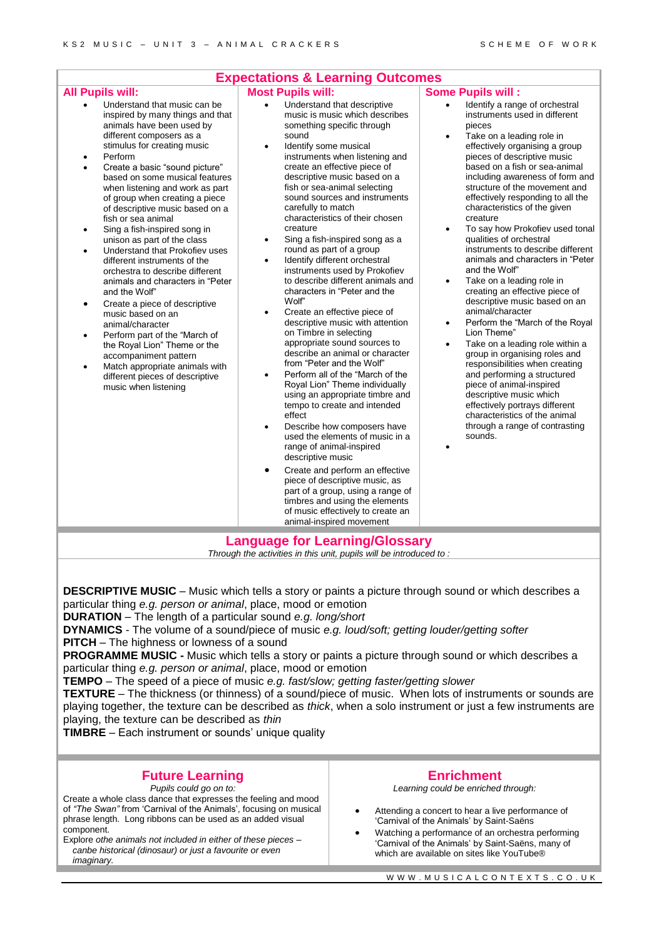| <b>Expectations &amp; Learning Outcomes</b>                                                                                                                                                                                                                                                                                                                                                                                                                                                                                                                                                                                                                                                                                                                                                                                                                                                                                                                           |                                                                                                                                                                                                                                                                                                                                                                                                                                                                                                                                                                                                                                                                                                                                                                                                                                                                                                                                                                                                                                                                                                                                                                                                                                                                                                                                                                                |                                                                                                                                                                                                                                                                                                                                                                                                                                                                                                                                                                                                                                                                                                                                                                                                                                                                                                                                                                                                                                                                                                                   |  |  |
|-----------------------------------------------------------------------------------------------------------------------------------------------------------------------------------------------------------------------------------------------------------------------------------------------------------------------------------------------------------------------------------------------------------------------------------------------------------------------------------------------------------------------------------------------------------------------------------------------------------------------------------------------------------------------------------------------------------------------------------------------------------------------------------------------------------------------------------------------------------------------------------------------------------------------------------------------------------------------|--------------------------------------------------------------------------------------------------------------------------------------------------------------------------------------------------------------------------------------------------------------------------------------------------------------------------------------------------------------------------------------------------------------------------------------------------------------------------------------------------------------------------------------------------------------------------------------------------------------------------------------------------------------------------------------------------------------------------------------------------------------------------------------------------------------------------------------------------------------------------------------------------------------------------------------------------------------------------------------------------------------------------------------------------------------------------------------------------------------------------------------------------------------------------------------------------------------------------------------------------------------------------------------------------------------------------------------------------------------------------------|-------------------------------------------------------------------------------------------------------------------------------------------------------------------------------------------------------------------------------------------------------------------------------------------------------------------------------------------------------------------------------------------------------------------------------------------------------------------------------------------------------------------------------------------------------------------------------------------------------------------------------------------------------------------------------------------------------------------------------------------------------------------------------------------------------------------------------------------------------------------------------------------------------------------------------------------------------------------------------------------------------------------------------------------------------------------------------------------------------------------|--|--|
| <b>All Pupils will:</b><br>Understand that music can be<br>inspired by many things and that<br>animals have been used by<br>different composers as a<br>stimulus for creating music<br>Perform<br>٠<br>Create a basic "sound picture"<br>$\bullet$<br>based on some musical features<br>when listening and work as part<br>of group when creating a piece<br>of descriptive music based on a<br>fish or sea animal<br>Sing a fish-inspired song in<br>٠<br>unison as part of the class<br>Understand that Prokofiev uses<br>$\bullet$<br>different instruments of the<br>orchestra to describe different<br>animals and characters in "Peter<br>and the Wolf"<br>Create a piece of descriptive<br>$\bullet$<br>music based on an<br>animal/character<br>Perform part of the "March of<br>$\bullet$<br>the Royal Lion" Theme or the<br>accompaniment pattern<br>Match appropriate animals with<br>$\bullet$<br>different pieces of descriptive<br>music when listening | <b>Most Pupils will:</b><br>Understand that descriptive<br>$\bullet$<br>music is music which describes<br>something specific through<br>sound<br>Identify some musical<br>$\bullet$<br>instruments when listening and<br>create an effective piece of<br>descriptive music based on a<br>fish or sea-animal selecting<br>sound sources and instruments<br>carefully to match<br>characteristics of their chosen<br>creature<br>Sing a fish-inspired song as a<br>$\bullet$<br>round as part of a group<br>Identify different orchestral<br>$\bullet$<br>instruments used by Prokofiev<br>to describe different animals and<br>characters in "Peter and the<br>Wolf"<br>Create an effective piece of<br>$\bullet$<br>descriptive music with attention<br>on Timbre in selecting<br>appropriate sound sources to<br>describe an animal or character<br>from "Peter and the Wolf"<br>Perform all of the "March of the<br>$\bullet$<br>Royal Lion" Theme individually<br>using an appropriate timbre and<br>tempo to create and intended<br>effect<br>Describe how composers have<br>used the elements of music in a<br>range of animal-inspired<br>descriptive music<br>Create and perform an effective<br>piece of descriptive music, as<br>part of a group, using a range of<br>timbres and using the elements<br>of music effectively to create an<br>animal-inspired movement | <b>Some Pupils will:</b><br>Identify a range of orchestral<br>$\bullet$<br>instruments used in different<br>pieces<br>Take on a leading role in<br>$\bullet$<br>effectively organising a group<br>pieces of descriptive music<br>based on a fish or sea-animal<br>including awareness of form and<br>structure of the movement and<br>effectively responding to all the<br>characteristics of the given<br>creature<br>To say how Prokofiev used tonal<br>$\bullet$<br>qualities of orchestral<br>instruments to describe different<br>animals and characters in "Peter<br>and the Wolf"<br>Take on a leading role in<br>$\bullet$<br>creating an effective piece of<br>descriptive music based on an<br>animal/character<br>Perform the "March of the Royal<br>$\bullet$<br>Lion Theme"<br>Take on a leading role within a<br>$\bullet$<br>group in organising roles and<br>responsibilities when creating<br>and performing a structured<br>piece of animal-inspired<br>descriptive music which<br>effectively portrays different<br>characteristics of the animal<br>through a range of contrasting<br>sounds. |  |  |

#### **Language for Learning/Glossary**

*Through the activities in this unit, pupils will be introduced to :*

**DESCRIPTIVE MUSIC** – Music which tells a story or paints a picture through sound or which describes a particular thing *e.g. person or animal*, place, mood or emotion

**DURATION** – The length of a particular sound *e.g. long/short*

**DYNAMICS** - The volume of a sound/piece of music *e.g. loud/soft; getting louder/getting softer* **PITCH** – The highness or lowness of a sound

**PROGRAMME MUSIC -** Music which tells a story or paints a picture through sound or which describes a particular thing *e.g. person or animal*, place, mood or emotion

**TEMPO** – The speed of a piece of music *e.g. fast/slow; getting faster/getting slower*

**TEXTURE** – The thickness (or thinness) of a sound/piece of music. When lots of instruments or sounds are playing together, the texture can be described as *thick*, when a solo instrument or just a few instruments are playing, the texture can be described as *thin*

**TIMBRE** – Each instrument or sounds' unique quality

### **Future Learning**

*Pupils could go on to:* Create a whole class dance that expresses the feeling and mood of *"The Swan"* from 'Carnival of the Animals', focusing on musical phrase length. Long ribbons can be used as an added visual component.

Explore *othe animals not included in either of these pieces – canbe historical (dinosaur) or just a favourite or even imaginary.*

#### **Enrichment**

*Learning could be enriched through:*

- Attending a concert to hear a live performance of 'Carnival of the Animals' by Saint-Saëns
- Watching a performance of an orchestra performing 'Carnival of the Animals' by Saint-Saëns, many of which are available on sites like YouTube®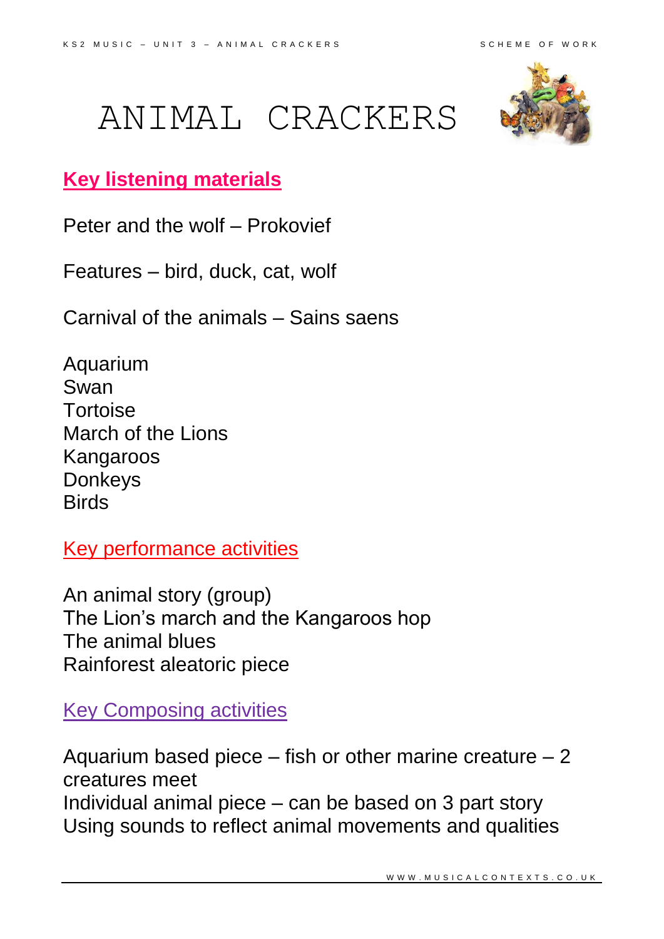

# ANIMAL CRACKERS

### **Key listening materials**

Peter and the wolf – Prokovief

Features – bird, duck, cat, wolf

Carnival of the animals – Sains saens

Aquarium Swan Tortoise March of the Lions Kangaroos **Donkeys Birds** 

Key performance activities

An animal story (group) The Lion's march and the Kangaroos hop The animal blues Rainforest aleatoric piece

Key Composing activities

Aquarium based piece – fish or other marine creature – 2 creatures meet Individual animal piece – can be based on 3 part story Using sounds to reflect animal movements and qualities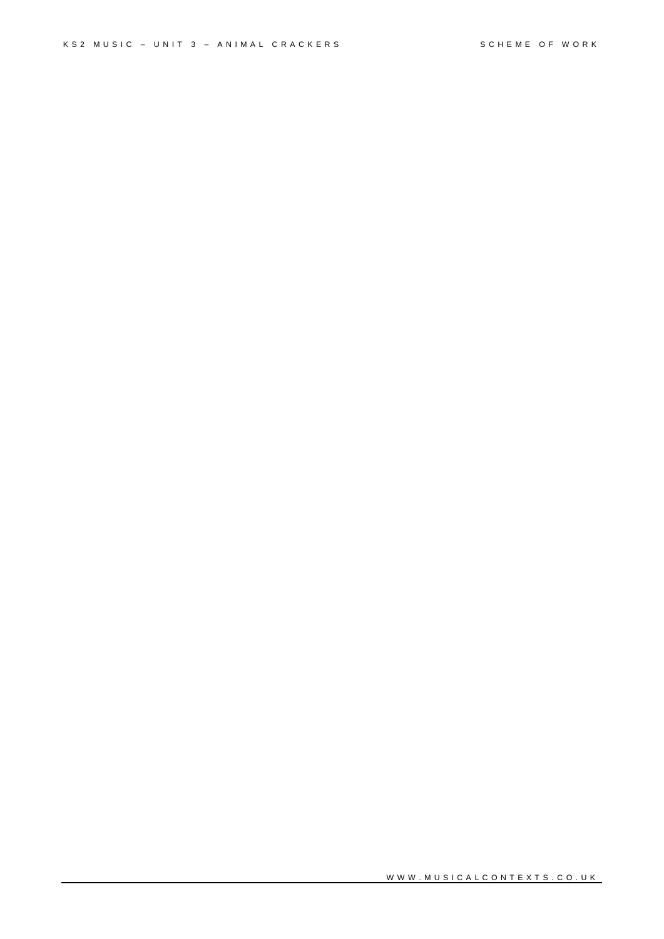W W W . M U S I C A L C O N T E X T S . C O . U K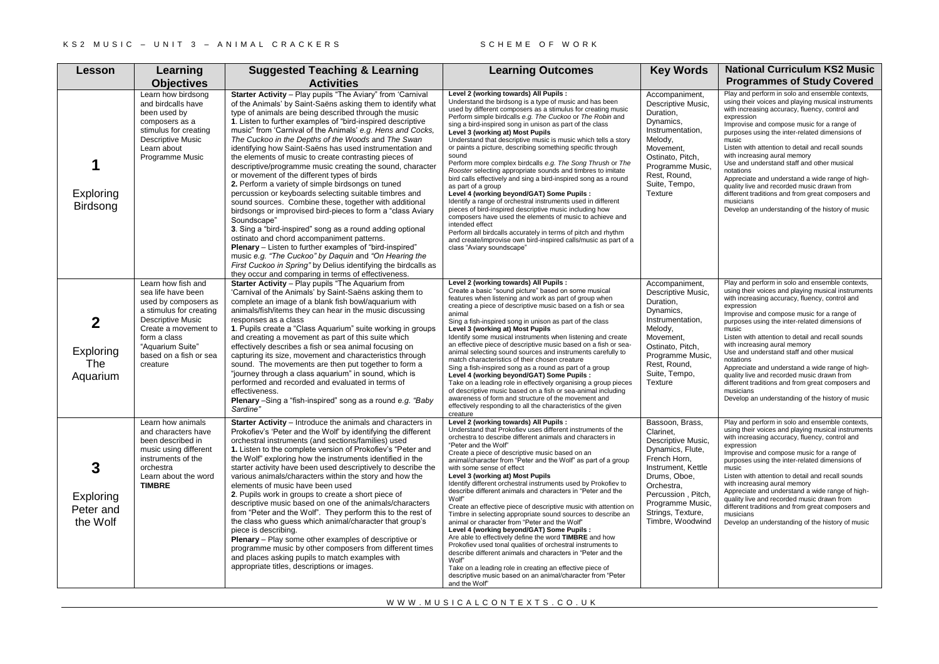| Lesson                                      | Learning                                                                                                                                                                                                                  | <b>Suggested Teaching &amp; Learning</b>                                                                                                                                                                                                                                                                                                                                                                                                                                                                                                                                                                                                                                                                                                                                                                                                                                                                                                                                                                                                                                                                                                                                                                                     | <b>Learning Outcomes</b>                                                                                                                                                                                                                                                                                                                                                                                                                                                                                                                                                                                                                                                                                                                                                                                                                                                                                                                                                                                                                                                                                               | <b>Key Words</b>                                                                                                                                                                                                              | <b>National Curriculum KS2 Music</b>                                                                                                                                                                                                                                                                                                                                                                                                                                                                                                                                                                                                                  |
|---------------------------------------------|---------------------------------------------------------------------------------------------------------------------------------------------------------------------------------------------------------------------------|------------------------------------------------------------------------------------------------------------------------------------------------------------------------------------------------------------------------------------------------------------------------------------------------------------------------------------------------------------------------------------------------------------------------------------------------------------------------------------------------------------------------------------------------------------------------------------------------------------------------------------------------------------------------------------------------------------------------------------------------------------------------------------------------------------------------------------------------------------------------------------------------------------------------------------------------------------------------------------------------------------------------------------------------------------------------------------------------------------------------------------------------------------------------------------------------------------------------------|------------------------------------------------------------------------------------------------------------------------------------------------------------------------------------------------------------------------------------------------------------------------------------------------------------------------------------------------------------------------------------------------------------------------------------------------------------------------------------------------------------------------------------------------------------------------------------------------------------------------------------------------------------------------------------------------------------------------------------------------------------------------------------------------------------------------------------------------------------------------------------------------------------------------------------------------------------------------------------------------------------------------------------------------------------------------------------------------------------------------|-------------------------------------------------------------------------------------------------------------------------------------------------------------------------------------------------------------------------------|-------------------------------------------------------------------------------------------------------------------------------------------------------------------------------------------------------------------------------------------------------------------------------------------------------------------------------------------------------------------------------------------------------------------------------------------------------------------------------------------------------------------------------------------------------------------------------------------------------------------------------------------------------|
|                                             | <b>Objectives</b>                                                                                                                                                                                                         | <b>Activities</b>                                                                                                                                                                                                                                                                                                                                                                                                                                                                                                                                                                                                                                                                                                                                                                                                                                                                                                                                                                                                                                                                                                                                                                                                            |                                                                                                                                                                                                                                                                                                                                                                                                                                                                                                                                                                                                                                                                                                                                                                                                                                                                                                                                                                                                                                                                                                                        |                                                                                                                                                                                                                               | <b>Programmes of Study Covered</b>                                                                                                                                                                                                                                                                                                                                                                                                                                                                                                                                                                                                                    |
| 1<br>Exploring<br>Birdsong                  | Learn how birdsong<br>and birdcalls have<br>been used by<br>composers as a<br>stimulus for creating<br><b>Descriptive Music</b><br>Learn about<br>Programme Music                                                         | Starter Activity - Play pupils "The Aviary" from 'Carnival<br>of the Animals' by Saint-Saëns asking them to identify what<br>type of animals are being described through the music<br>1. Listen to further examples of "bird-inspired descriptive<br>music" from 'Carnival of the Animals' e.g. Hens and Cocks,<br>The Cuckoo in the Depths of the Woods and The Swan<br>identifying how Saint-Saëns has used instrumentation and<br>the elements of music to create contrasting pieces of<br>descriptive/programme music creating the sound, character<br>or movement of the different types of birds<br>2. Perform a variety of simple birdsongs on tuned<br>percussion or keyboards selecting suitable timbres and<br>sound sources. Combine these, together with additional<br>birdsongs or improvised bird-pieces to form a "class Aviary<br>Soundscape"<br>3. Sing a "bird-inspired" song as a round adding optional<br>ostinato and chord accompaniment patterns.<br><b>Plenary</b> – Listen to further examples of "bird-inspired"<br>music e.g. "The Cuckoo" by Daquin and "On Hearing the<br>First Cuckoo in Spring" by Delius identifying the birdcalls as<br>they occur and comparing in terms of effectiveness. | Level 2 (working towards) All Pupils :<br>Understand the birdsong is a type of music and has been<br>used by different composers as a stimulus for creating music<br>Perform simple birdcalls e.g. The Cuckoo or The Robin and<br>sing a bird-inspired song in unison as part of the class<br>Level 3 (working at) Most Pupils<br>Understand that descriptive music is music which tells a story<br>or paints a picture, describing something specific through<br>sound<br>Perform more complex birdcalls e.g. The Song Thrush or The<br>Rooster selecting appropriate sounds and timbres to imitate<br>bird calls effectively and sing a bird-inspired song as a round<br>as part of a group<br>Level 4 (working beyond/GAT) Some Pupils :<br>Identify a range of orchestral instruments used in different<br>pieces of bird-inspired descriptive music including how<br>composers have used the elements of music to achieve and<br>intended effect<br>Perform all birdcalls accurately in terms of pitch and rhythm<br>and create/improvise own bird-inspired calls/music as part of a<br>class "Aviary soundscape" | Accompaniment.<br>Descriptive Music,<br>Duration,<br>Dynamics,<br>Instrumentation,<br>Melody,<br>Movement,<br>Ostinato, Pitch,<br>Programme Music,<br>Rest, Round,<br>Suite, Tempo,<br><b>Texture</b>                         | Play and perform in solo and ensemble contexts,<br>using their voices and playing musical instruments<br>with increasing accuracy, fluency, control and<br>expression<br>Improvise and compose music for a range of<br>purposes using the inter-related dimensions of<br>music<br>Listen with attention to detail and recall sounds<br>with increasing aural memory<br>Use and understand staff and other musical<br>notations<br>Appreciate and understand a wide range of high-<br>quality live and recorded music drawn from<br>different traditions and from great composers and<br>musicians<br>Develop an understanding of the history of music |
| $\mathbf 2$<br>Exploring<br>The<br>Aquarium | Learn how fish and<br>sea life have been<br>used by composers as<br>a stimulus for creating<br><b>Descriptive Music</b><br>Create a movement to<br>form a class<br>"Aquarium Suite"<br>based on a fish or sea<br>creature | <b>Starter Activity</b> - Play pupils "The Aquarium from<br>'Carnival of the Animals' by Saint-Saëns asking them to<br>complete an image of a blank fish bowl/aquarium with<br>animals/fish/items they can hear in the music discussing<br>responses as a class<br>1. Pupils create a "Class Aquarium" suite working in groups<br>and creating a movement as part of this suite which<br>effectively describes a fish or sea animal focusing on<br>capturing its size, movement and characteristics through<br>sound. The movements are then put together to form a<br>"journey through a class aquarium" in sound, which is<br>performed and recorded and evaluated in terms of<br>effectiveness.<br><b>Plenary</b> -Sing a "fish-inspired" song as a round e.g. "Baby<br>Sardine"                                                                                                                                                                                                                                                                                                                                                                                                                                          | Level 2 (working towards) All Pupils :<br>Create a basic "sound picture" based on some musical<br>features when listening and work as part of group when<br>creating a piece of descriptive music based on a fish or sea<br>animal<br>Sing a fish-inspired song in unison as part of the class<br>Level 3 (working at) Most Pupils<br>Identify some musical instruments when listening and create<br>an effective piece of descriptive music based on a fish or sea-<br>animal selecting sound sources and instruments carefully to<br>match characteristics of their chosen creature<br>Sing a fish-inspired song as a round as part of a group<br>Level 4 (working beyond/GAT) Some Pupils :<br>Take on a leading role in effectively organising a group pieces<br>of descriptive music based on a fish or sea-animal including<br>awareness of form and structure of the movement and<br>effectively responding to all the characteristics of the given<br>creature                                                                                                                                                 | Accompaniment,<br>Descriptive Music,<br>Duration,<br>Dynamics,<br>Instrumentation,<br>Melody,<br>Movement,<br>Ostinato, Pitch,<br>Programme Music,<br>Rest, Round,<br>Suite, Tempo,<br>Texture                                | Play and perform in solo and ensemble contexts,<br>using their voices and playing musical instruments<br>with increasing accuracy, fluency, control and<br>expression<br>Improvise and compose music for a range of<br>purposes using the inter-related dimensions of<br>music<br>Listen with attention to detail and recall sounds<br>with increasing aural memory<br>Use and understand staff and other musical<br>notations<br>Appreciate and understand a wide range of high-<br>quality live and recorded music drawn from<br>different traditions and from great composers and<br>musicians<br>Develop an understanding of the history of music |
| 3<br>Exploring<br>Peter and<br>the Wolf     | Learn how animals<br>and characters have<br>been described in<br>music using different<br>instruments of the<br>orchestra<br>Learn about the word<br><b>TIMBRE</b>                                                        | Starter Activity - Introduce the animals and characters in<br>Prokofiev's 'Peter and the Wolf' by identifying the different<br>orchestral instruments (and sections/families) used<br>1. Listen to the complete version of Prokofiev's "Peter and<br>the Wolf" exploring how the instruments identified in the<br>starter activity have been used descriptively to describe the<br>various animals/characters within the story and how the<br>elements of music have been used<br>2. Pupils work in groups to create a short piece of<br>descriptive music based on one of the animals/characters<br>from "Peter and the Wolf". They perform this to the rest of<br>the class who quess which animal/character that group's<br>piece is describing.<br><b>Plenary</b> – Play some other examples of descriptive or<br>programme music by other composers from different times<br>and places asking pupils to match examples with<br>appropriate titles, descriptions or images.                                                                                                                                                                                                                                              | Level 2 (working towards) All Pupils :<br>Understand that Prokofiev uses different instruments of the<br>orchestra to describe different animals and characters in<br>"Peter and the Wolf"<br>Create a piece of descriptive music based on an<br>animal/character from "Peter and the Wolf" as part of a group<br>with some sense of effect<br>Level 3 (working at) Most Pupils<br>Identify different orchestral instruments used by Prokofiev to<br>describe different animals and characters in "Peter and the<br>Wolf"<br>Create an effective piece of descriptive music with attention on<br>Timbre in selecting appropriate sound sources to describe an<br>animal or character from "Peter and the Wolf"<br>Level 4 (working beyond/GAT) Some Pupils :<br>Are able to effectively define the word TIMBRE and how<br>Prokofiev used tonal qualities of orchestral instruments to<br>describe different animals and characters in "Peter and the<br>Wolf"<br>Take on a leading role in creating an effective piece of<br>descriptive music based on an animal/character from "Peter<br>and the Wolf"               | Bassoon, Brass,<br>Clarinet.<br>Descriptive Music,<br>Dynamics, Flute,<br>French Horn,<br>Instrument, Kettle<br>Drums, Oboe,<br>Orchestra,<br>Percussion, Pitch,<br>Programme Music,<br>Strings, Texture,<br>Timbre, Woodwind | Play and perform in solo and ensemble contexts,<br>using their voices and playing musical instruments<br>with increasing accuracy, fluency, control and<br>expression<br>Improvise and compose music for a range of<br>purposes using the inter-related dimensions of<br>music<br>Listen with attention to detail and recall sounds<br>with increasing aural memory<br>Appreciate and understand a wide range of high-<br>quality live and recorded music drawn from<br>different traditions and from great composers and<br>musicians<br>Develop an understanding of the history of music                                                            |

W W W . M U S I C A L C O N T E X T S . C O . U K